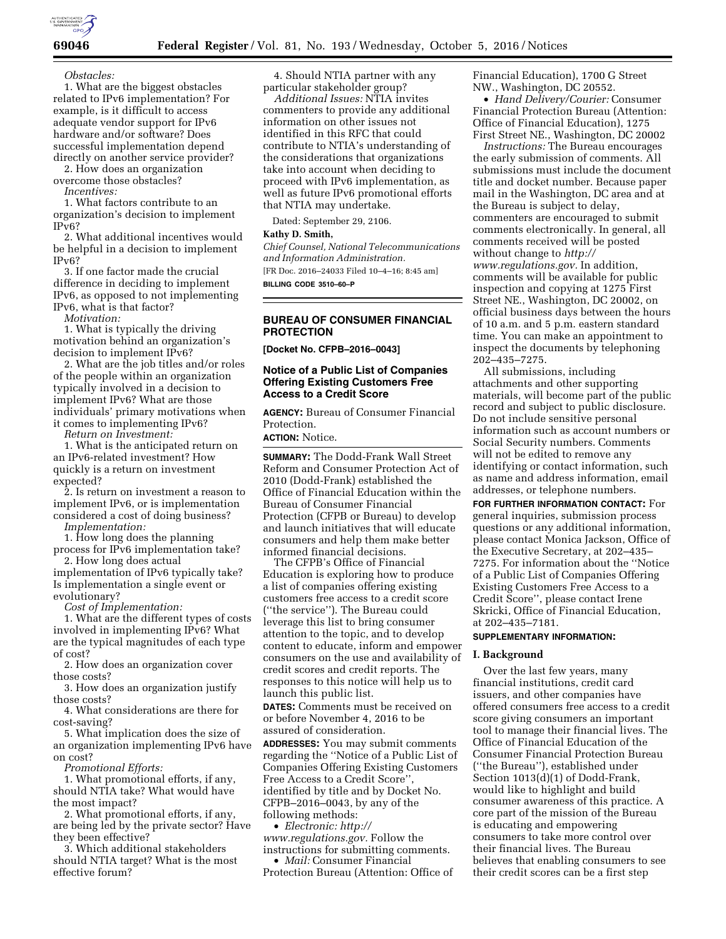

**69046 Federal Register** / Vol. 81, No. 193 / Wednesday, October 5, 2016 / Notices

*Obstacles:* 

1. What are the biggest obstacles related to IPv6 implementation? For example, is it difficult to access adequate vendor support for IPv6 hardware and/or software? Does successful implementation depend directly on another service provider?

2. How does an organization overcome those obstacles?

*Incentives:* 

1. What factors contribute to an organization's decision to implement IPv6?

2. What additional incentives would be helpful in a decision to implement IPv6?

3. If one factor made the crucial difference in deciding to implement IPv6, as opposed to not implementing IPv6, what is that factor?

*Motivation:* 

1. What is typically the driving motivation behind an organization's decision to implement IPv6?

2. What are the job titles and/or roles of the people within an organization typically involved in a decision to implement IPv6? What are those individuals' primary motivations when it comes to implementing IPv6?

*Return on Investment:* 

1. What is the anticipated return on an IPv6-related investment? How quickly is a return on investment expected?

2. Is return on investment a reason to implement IPv6, or is implementation considered a cost of doing business?

*Implementation:* 

1. How long does the planning

process for IPv6 implementation take? 2. How long does actual

implementation of IPv6 typically take? Is implementation a single event or evolutionary?

*Cost of Implementation:* 

1. What are the different types of costs involved in implementing IPv6? What are the typical magnitudes of each type of cost?

2. How does an organization cover those costs?

3. How does an organization justify those costs?

4. What considerations are there for cost-saving?

5. What implication does the size of an organization implementing IPv6 have on cost?

*Promotional Efforts:* 

1. What promotional efforts, if any, should NTIA take? What would have the most impact?

2. What promotional efforts, if any, are being led by the private sector? Have they been effective?

3. Which additional stakeholders should NTIA target? What is the most effective forum?

4. Should NTIA partner with any particular stakeholder group?

*Additional Issues:* NTIA invites commenters to provide any additional information on other issues not identified in this RFC that could contribute to NTIA's understanding of the considerations that organizations take into account when deciding to proceed with IPv6 implementation, as well as future IPv6 promotional efforts that NTIA may undertake.

Dated: September 29, 2106.

## **Kathy D. Smith,**

*Chief Counsel, National Telecommunications and Information Administration.*  [FR Doc. 2016–24033 Filed 10–4–16; 8:45 am] **BILLING CODE 3510–60–P** 

## **BUREAU OF CONSUMER FINANCIAL PROTECTION**

**[Docket No. CFPB–2016–0043]** 

### **Notice of a Public List of Companies Offering Existing Customers Free Access to a Credit Score**

**AGENCY:** Bureau of Consumer Financial Protection.

**ACTION:** Notice.

**SUMMARY:** The Dodd-Frank Wall Street Reform and Consumer Protection Act of 2010 (Dodd-Frank) established the Office of Financial Education within the Bureau of Consumer Financial Protection (CFPB or Bureau) to develop and launch initiatives that will educate consumers and help them make better informed financial decisions.

The CFPB's Office of Financial Education is exploring how to produce a list of companies offering existing customers free access to a credit score (''the service''). The Bureau could leverage this list to bring consumer attention to the topic, and to develop content to educate, inform and empower consumers on the use and availability of credit scores and credit reports. The responses to this notice will help us to launch this public list.

**DATES:** Comments must be received on or before November 4, 2016 to be assured of consideration.

**ADDRESSES:** You may submit comments regarding the ''Notice of a Public List of Companies Offering Existing Customers Free Access to a Credit Score'', identified by title and by Docket No. CFPB–2016–0043, by any of the following methods:

• *Electronic: [http://](http://www.regulations.gov) [www.regulations.gov.](http://www.regulations.gov)* Follow the instructions for submitting comments.

• *Mail:* Consumer Financial Protection Bureau (Attention: Office of Financial Education), 1700 G Street NW., Washington, DC 20552.

• *Hand Delivery/Courier:* Consumer Financial Protection Bureau (Attention: Office of Financial Education), 1275 First Street NE., Washington, DC 20002

*Instructions:* The Bureau encourages the early submission of comments. All submissions must include the document title and docket number. Because paper mail in the Washington, DC area and at the Bureau is subject to delay, commenters are encouraged to submit comments electronically. In general, all comments received will be posted without change to *[http://](http://www.regulations.gov) [www.regulations.gov.](http://www.regulations.gov)* In addition, comments will be available for public inspection and copying at 1275 First Street NE., Washington, DC 20002, on official business days between the hours of 10 a.m. and 5 p.m. eastern standard time. You can make an appointment to inspect the documents by telephoning 202–435–7275.

All submissions, including attachments and other supporting materials, will become part of the public record and subject to public disclosure. Do not include sensitive personal information such as account numbers or Social Security numbers. Comments will not be edited to remove any identifying or contact information, such as name and address information, email addresses, or telephone numbers.

**FOR FURTHER INFORMATION CONTACT:** For general inquiries, submission process questions or any additional information, please contact Monica Jackson, Office of the Executive Secretary, at 202–435– 7275. For information about the ''Notice of a Public List of Companies Offering Existing Customers Free Access to a Credit Score'', please contact Irene Skricki, Office of Financial Education, at 202–435–7181.

## **SUPPLEMENTARY INFORMATION:**

# **I. Background**

Over the last few years, many financial institutions, credit card issuers, and other companies have offered consumers free access to a credit score giving consumers an important tool to manage their financial lives. The Office of Financial Education of the Consumer Financial Protection Bureau (''the Bureau''), established under Section 1013(d)(1) of Dodd-Frank, would like to highlight and build consumer awareness of this practice. A core part of the mission of the Bureau is educating and empowering consumers to take more control over their financial lives. The Bureau believes that enabling consumers to see their credit scores can be a first step